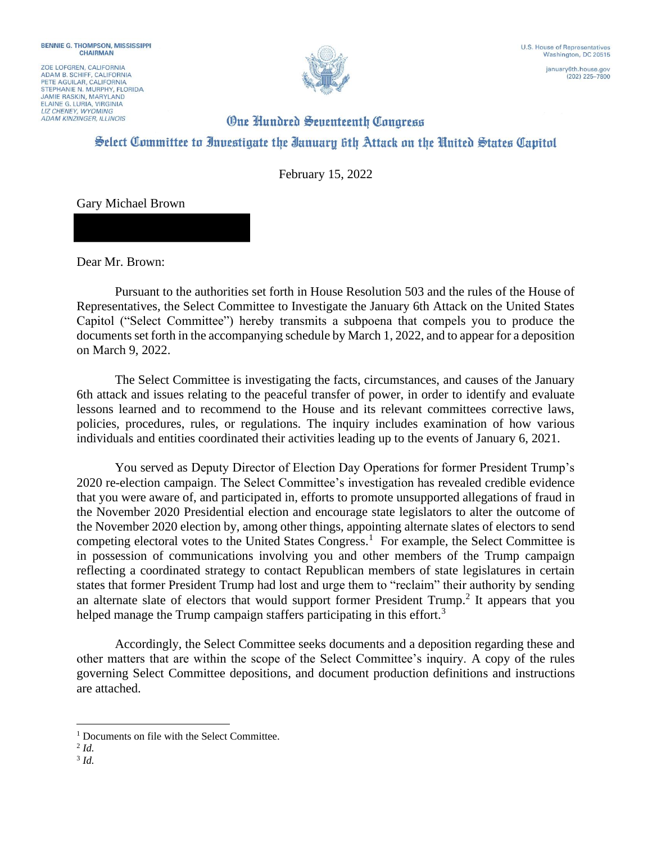ZOE LOFGREN, CALIFORNIA ADAM B. SCHIFF, CALIFORNIA<br>PETE AGUILAR, CALIFORNIA STEPHANIE N. MURPHY, FLORIDA **JAMIE RASKIN, MARYLAND** ELAINE G. LURIA, VIRGINIA **ADAM KINZINGER, ILLINOIS** 



 $(202)$  225-7800

## **One Hundred Seventeenth Congress** Select Committee to Investigate the Ianuary 6th Attack on the United States Capitol

February 15, 2022

Gary Michael Brown

Dear Mr. Brown:

Pursuant to the authorities set forth in House Resolution 503 and the rules of the House of Representatives, the Select Committee to Investigate the January 6th Attack on the United States Capitol ("Select Committee") hereby transmits a subpoena that compels you to produce the documents set forth in the accompanying schedule by March 1, 2022, and to appear for a deposition on March 9, 2022.

The Select Committee is investigating the facts, circumstances, and causes of the January 6th attack and issues relating to the peaceful transfer of power, in order to identify and evaluate lessons learned and to recommend to the House and its relevant committees corrective laws, policies, procedures, rules, or regulations. The inquiry includes examination of how various individuals and entities coordinated their activities leading up to the events of January 6, 2021.

You served as Deputy Director of Election Day Operations for former President Trump's 2020 re-election campaign. The Select Committee's investigation has revealed credible evidence that you were aware of, and participated in, efforts to promote unsupported allegations of fraud in the November 2020 Presidential election and encourage state legislators to alter the outcome of the November 2020 election by, among other things, appointing alternate slates of electors to send competing electoral votes to the United States Congress.<sup>1</sup> For example, the Select Committee is in possession of communications involving you and other members of the Trump campaign reflecting a coordinated strategy to contact Republican members of state legislatures in certain states that former President Trump had lost and urge them to "reclaim" their authority by sending an alternate slate of electors that would support former President Trump.<sup>2</sup> It appears that you helped manage the Trump campaign staffers participating in this effort.<sup>3</sup>

Accordingly, the Select Committee seeks documents and a deposition regarding these and other matters that are within the scope of the Select Committee's inquiry. A copy of the rules governing Select Committee depositions, and document production definitions and instructions are attached.

<sup>&</sup>lt;sup>1</sup> Documents on file with the Select Committee.

<sup>2</sup> *Id.*

<sup>3</sup> *Id.*